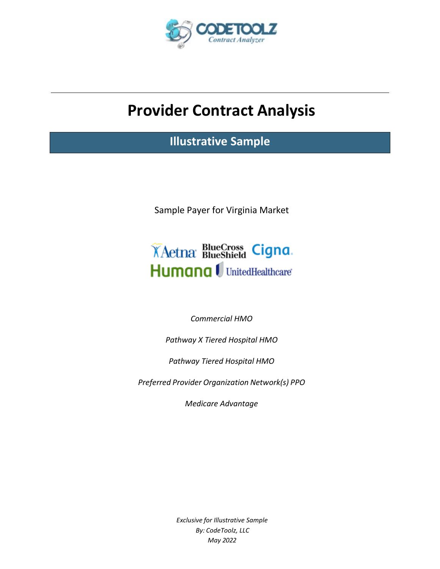

# **Provider Contract Analysis**

**Illustrative Sample**

Sample Payer for Virginia Market



*Commercial HMO*

*Pathway X Tiered Hospital HMO*

*Pathway Tiered Hospital HMO*

*Preferred Provider Organization Network(s) PPO*

*Medicare Advantage*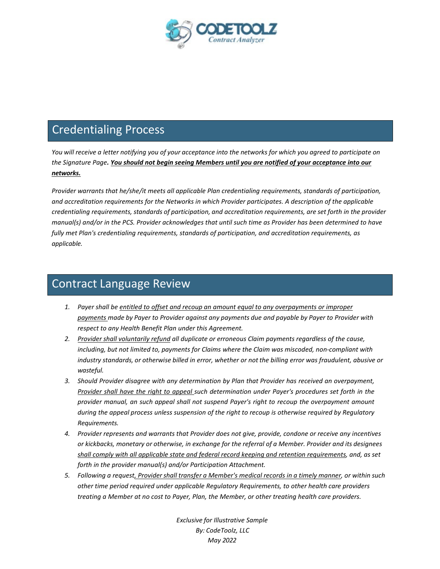

## Credentialing Process

You will receive a letter notifying you of your acceptance into the networks for which you agreed to participate on *the Signature Page. You should not begin seeing Members until you are notified of your acceptance into our networks.*

*Provider warrants that he/she/it meets all applicable Plan credentialing requirements, standards of participation, and accreditation requirements for the Networks in which Provider participates. A description of the applicable credentialing requirements, standards of participation, and accreditation requirements, are set forth in the provider manual(s) and/or in the PCS. Provider acknowledges that until such time as Provider has been determined to have fully met Plan's credentialing requirements, standards of participation, and accreditation requirements, as applicable.*

### Contract Language Review

- *1. Payer shall be entitled to offset and recoup an amount equal to any overpayments or improper payments made by Payer to Provider against any payments due and payable by Payer to Provider with respect to any Health Benefit Plan under this Agreement.*
- *2. Provider shall voluntarily refund all duplicate or erroneous Claim payments regardless of the cause, including, but not limited to, payments for Claims where the Claim was miscoded, non-compliant with industry standards, or otherwise billed in error, whether or not the billing error was fraudulent, abusive or wasteful.*
- *3. Should Provider disagree with any determination by Plan that Provider has received an overpayment, Provider shall have the right to appeal such determination under Payer's procedures set forth in the provider manual, an such appeal shall not suspend Payer's right to recoup the overpayment amount during the appeal process unless suspension of the right to recoup is otherwise required by Regulatory Requirements.*
- *4. Provider represents and warrants that Provider does not give, provide, condone or receive any incentives*  or kickbacks, monetary or otherwise, in exchange for the referral of a Member. Provider and its designees *shall comply with all applicable state and federal record keeping and retention requirements, and, as set forth in the provider manual(s) and/or Participation Attachment.*
- *5. Following a request, Providershall transfer a Member's medical records in a timely manner, or within such other time period required under applicable Regulatory Requirements, to other health care providers treating a Member at no cost to Payer, Plan, the Member, or other treating health care providers.*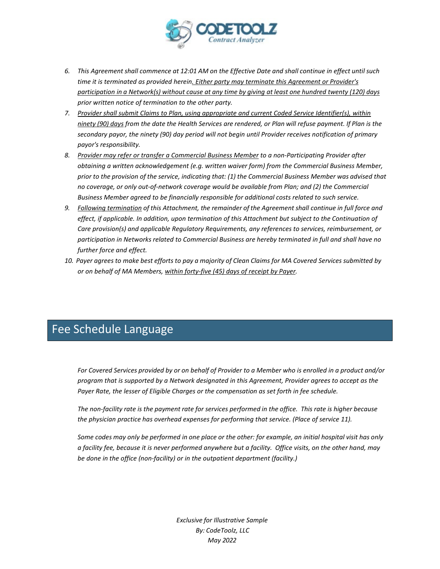

- 6. This Agreement shall commence at 12:01 AM on the Effective Date and shall continue in effect until such *time it is terminated as provided herein. Either party may terminate this Agreement or Provider's* participation in a Network(s) without cause at any time by giving at least one hundred twenty (120) days *prior written notice of termination to the other party.*
- *7. Provider shall submit Claims to Plan, using appropriate and current Coded Service Identifier(s), within* ninety (90) days from the date the Health Services are rendered, or Plan will refuse payment. If Plan is the *secondary payor, the ninety (90) day period will not begin until Provider receives notification of primary payor's responsibility.*
- *8. Provider may refer or transfer a Commercial Business Member to a non-Participating Provider after obtaining a written acknowledgement (e.g. written waiver form) from the Commercial Business Member, prior to the provision of the service, indicating that: (1) the Commercial Business Member was advised that no coverage, or only out-of-network coverage would be available from Plan; and (2) the Commercial Business Member agreed to be financially responsible for additional costs related to such service.*
- *9. Following termination of this Attachment, the remainder of the Agreement shall continue in full force and effect, if applicable. In addition, upon termination of this Attachment but subject to the Continuation of Care provision(s) and applicable Regulatory Requirements, any references to services, reimbursement, or participation in Networks related to Commercial Business are hereby terminated in full and shall have no further force and effect.*
- 10. Payer agrees to make best efforts to pay a majority of Clean Claims for MA Covered Services submitted by *or on behalf of MA Members, within forty-five (45) days of receipt by Payer.*

## Fee Schedule Language

*For Covered Services provided by or on behalf of Provider to a Member who is enrolled in a product and/or program that is supported by a Network designated in this Agreement, Provider agrees to accept as the Payer Rate, the lesser of Eligible Charges or the compensation as set forth in fee schedule.*

The non-facility rate is the payment rate for services performed in the office. This rate is higher because *the physician practice has overhead expenses for performing that service. (Place of service 11).*

*Some codes may only be performed in one place or the other: for example, an initial hospital visit has only a facility fee, because it is never performed anywhere but a facility. Office visits, on the other hand, may be done in the office (non-facility) or in the outpatient department (facility.)*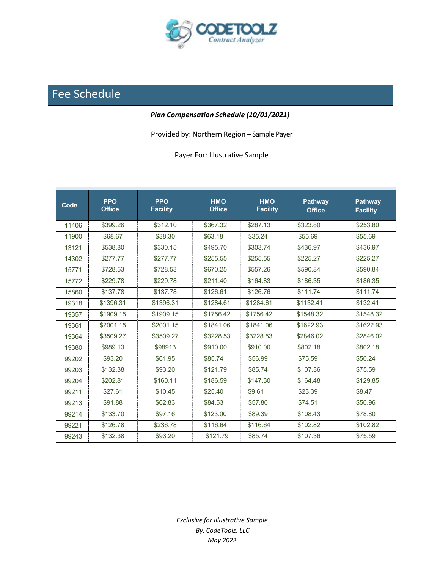

## Fee Schedule

#### *Plan Compensation Schedule (10/01/2021)*

Provided by: Northern Region – Sample Payer

Payer For: Illustrative Sample

| Code  | <b>PPO</b><br><b>Office</b> | <b>PPO</b><br><b>Facility</b> | <b>HMO</b><br><b>Office</b> | <b>HMO</b><br><b>Facility</b> | <b>Pathway</b><br><b>Office</b> | <b>Pathway</b><br><b>Facility</b> |
|-------|-----------------------------|-------------------------------|-----------------------------|-------------------------------|---------------------------------|-----------------------------------|
| 11406 | \$399.26                    | \$312.10                      | \$367.32                    | \$287.13                      | \$323.80                        | \$253.80                          |
| 11900 | \$68.67                     | \$38.30                       | \$63.18                     | \$35.24                       | \$55.69                         | \$55.69                           |
| 13121 | \$538.80                    | \$330.15                      | \$495.70                    | \$303.74                      | \$436.97                        | \$436.97                          |
| 14302 | \$277.77                    | \$277.77                      | \$255.55                    | \$255.55                      | \$225.27                        | \$225.27                          |
| 15771 | \$728.53                    | \$728.53                      | \$670.25                    | \$557.26                      | \$590.84                        | \$590.84                          |
| 15772 | \$229.78                    | \$229.78                      | \$211.40                    | \$164.83                      | \$186.35                        | \$186.35                          |
| 15860 | \$137.78                    | \$137.78                      | \$126.61                    | \$126.76                      | \$111.74                        | \$111.74                          |
| 19318 | \$1396.31                   | \$1396.31                     | \$1284.61                   | \$1284.61                     | \$1132.41                       | \$132.41                          |
| 19357 | \$1909.15                   | \$1909.15                     | \$1756.42                   | \$1756.42                     | \$1548.32                       | \$1548.32                         |
| 19361 | \$2001.15                   | \$2001.15                     | \$1841.06                   | \$1841.06                     | \$1622.93                       | \$1622.93                         |
| 19364 | \$3509.27                   | \$3509.27                     | \$3228.53                   | \$3228.53                     | \$2846.02                       | \$2846.02                         |
| 19380 | \$989.13                    | \$98913                       | \$910.00                    | \$910.00                      | \$802.18                        | \$802.18                          |
| 99202 | \$93.20                     | \$61.95                       | \$85.74                     | \$56.99                       | \$75.59                         | \$50.24                           |
| 99203 | \$132.38                    | \$93.20                       | \$121.79                    | \$85.74                       | \$107.36                        | \$75.59                           |
| 99204 | \$202.81                    | \$160.11                      | \$186.59                    | \$147.30                      | \$164.48                        | \$129.85                          |
| 99211 | \$27.61                     | \$10.45                       | \$25.40                     | \$9.61                        | \$23.39                         | \$8.47                            |
| 99213 | \$91.88                     | \$62.83                       | \$84.53                     | \$57.80                       | \$74.51                         | \$50.96                           |
| 99214 | \$133.70                    | \$97.16                       | \$123.00                    | \$89.39                       | \$108.43                        | \$78.80                           |
| 99221 | \$126.78                    | \$236.78                      | \$116.64                    | \$116.64                      | \$102.82                        | \$102.82                          |
| 99243 | \$132.38                    | \$93.20                       | \$121.79                    | \$85.74                       | \$107.36                        | \$75.59                           |